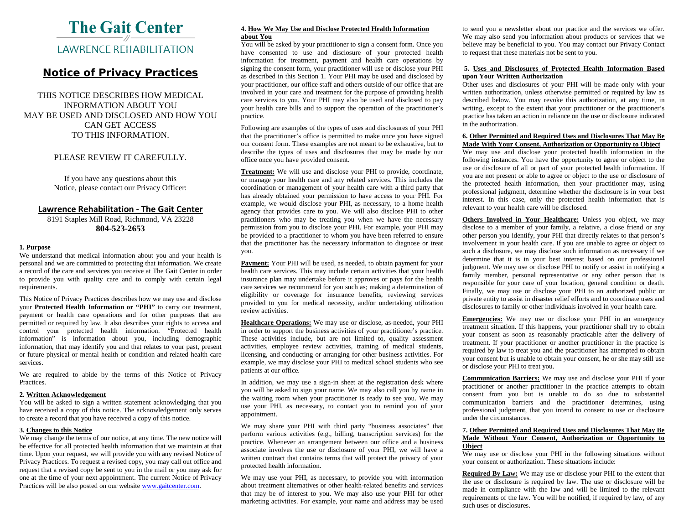# **The Gait Center LAWRENCE REHABILITATION**

# **Notice of Privacy Practices**

THIS NOTICE DESCRIBES HOW MEDICAL INFORMATION ABOUT YOU MAY BE USED AND DISCLOSED AND HOW YOU CAN GET ACCESS TO THIS INFORMATION.

# PLEASE REVIEW IT CAREFULLY.

If you have any questions about this Notice, please contact our Privacy Officer:

# **Lawrence Rehabilitation - The Gait Center**

8191 Staples Mill Road, Richmond, VA 23228 **804-523-2653**

# **1. Purpose**

We understand that medical information about you and your health is personal and we are committed to protecting that information. We create a record of the care and services you receive at The Gait Center in order to provide you with quality care and to comply with certain legal requirements.

This Notice of Privacy Practices describes how we may use and disclose your **Protected Health Information or "PHI"** to carry out treatment, payment or health care operations and for other purposes that are permitted or required by law. It also describes your rights to access and control your protected health information. "Protected health information" is information about you, including demographic information, that may identify you and that relates to your past, present or future physical or mental health or condition and related health care services.

We are required to abide by the terms of this Notice of Privacy Practices.

# **2. Written Acknowledgement**

You will be asked to sign a written statement acknowledging that you have received a copy of this notice. The acknowledgement only serves to create a record that you have received a copy of this notice.

# **3. Changes to this Notice**

We may change the terms of our notice, at any time. The new notice will be effective for all protected health information that we maintain at that time. Upon your request, we will provide you with any revised Notice of Privacy Practices. To request a revised copy, you may call out office and request that a revised copy be sent to you in the mail or you may ask for one at the time of your next appointment. The current Notice of Privacy Practices will be also posted on our websit[e www.gaitcenter.com.](http://www.gaitcenter.com/)

# **4. How We May Use and Disclose Protected Health Information about You**

You will be asked by your practitioner to sign a consent form. Once you have consented to use and disclosure of your protected health information for treatment, payment and health care operations by signing the consent form, your practitioner will use or disclose your PHI as described in this Section 1. Your PHI may be used and disclosed by your practitioner, our office staff and others outside of our office that are involved in your care and treatment for the purpose of providing health care services to you. Your PHI may also be used and disclosed to pay your health care bills and to support the operation of the practitioner's practice.

Following are examples of the types of uses and disclosures of your PHI that the practitioner's office is permitted to make once you have signed our consent form. These examples are not meant to be exhaustive, but to describe the types of uses and disclosures that may be made by our office once you have provided consent.

**Treatment:** We will use and disclose your PHI to provide, coordinate, or manage your health care and any related services. This includes the coordination or management of your health care with a third party that has already obtained your permission to have access to your PHI. For example, we would disclose your PHI, as necessary, to a home health agency that provides care to you. We will also disclose PHI to other practitioners who may be treating you when we have the necessary permission from you to disclose your PHI. For example, your PHI may be provided to a practitioner to whom you have been referred to ensure that the practitioner has the necessary information to diagnose or treat you.

Payment: Your PHI will be used, as needed, to obtain payment for your health care services. This may include certain activities that your health insurance plan may undertake before it approves or pays for the health care services we recommend for you such as; making a determination of eligibility or coverage for insurance benefits, reviewing services provided to you for medical necessity, and/or undertaking utilization review activities.

**Healthcare Operations:** We may use or disclose, as-needed, your PHI in order to support the business activities of your practitioner's practice. These activities include, but are not limited to, quality assessment activities, employee review activities, training of medical students, licensing, and conducting or arranging for other business activities. For example, we may disclose your PHI to medical school students who see patients at our office.

In addition, we may use a sign-in sheet at the registration desk where you will be asked to sign your name. We may also call you by name in the waiting room when your practitioner is ready to see you. We may use your PHI, as necessary, to contact you to remind you of your appointment.

We may share your PHI with third party "business associates" that perform various activities (e.g., billing, transcription services) for the practice. Whenever an arrangement between our office and a business associate involves the use or disclosure of your PHI, we will have a written contract that contains terms that will protect the privacy of your protected health information.

We may use your PHI, as necessary, to provide you with information about treatment alternatives or other health-related benefits and services that may be of interest to you. We may also use your PHI for other marketing activities. For example, your name and address may be used

to send you a newsletter about our practice and the services we offer. We may also send you information about products or services that we believe may be beneficial to you. You may contact our Privacy Contact to request that these materials not be sent to you.

# **5. Uses and Disclosures of Protected Health Information Based upon Your Written Authorization**

Other uses and disclosures of your PHI will be made only with your written authorization, unless otherwise permitted or required by law as described below. You may revoke this authorization, at any time, in writing, except to the extent that your practitioner or the practitioner's practice has taken an action in reliance on the use or disclosure indicated in the authorization.

#### **6. Other Permitted and Required Uses and Disclosures That May Be Made With Your Consent, Authorization or Opportunity to Object**

We may use and disclose your protected health information in the following instances. You have the opportunity to agree or object to the use or disclosure of all or part of your protected health information. If you are not present or able to agree or object to the use or disclosure of the protected health information, then your practitioner may, using professional judgment, determine whether the disclosure is in your best interest. In this case, only the protected health information that is relevant to your health care will be disclosed.

**Others Involved in Your Healthcare:** Unless you object, we may disclose to a member of your family, a relative, a close friend or any other person you identify, your PHI that directly relates to that person's involvement in your health care. If you are unable to agree or object to such a disclosure, we may disclose such information as necessary if we determine that it is in your best interest based on our professional judgment. We may use or disclose PHI to notify or assist in notifying a family member, personal representative or any other person that is responsible for your care of your location, general condition or death. Finally, we may use or disclose your PHI to an authorized public or private entity to assist in disaster relief efforts and to coordinate uses and disclosures to family or other individuals involved in your health care.

**Emergencies:** We may use or disclose your PHI in an emergency treatment situation. If this happens, your practitioner shall try to obtain your consent as soon as reasonably practicable after the delivery of treatment. If your practitioner or another practitioner in the practice is required by law to treat you and the practitioner has attempted to obtain your consent but is unable to obtain your consent, he or she may still use or disclose your PHI to treat you.

**Communication Barriers:** We may use and disclose your PHI if your practitioner or another practitioner in the practice attempts to obtain consent from you but is unable to do so due to substantial communication barriers and the practitioner determines, using professional judgment, that you intend to consent to use or disclosure under the circumstances.

# **7. Other Permitted and Required Uses and Disclosures That May Be Made Without Your Consent, Authorization or Opportunity to Object**

We may use or disclose your PHI in the following situations without your consent or authorization. These situations include:

**Required By Law:** We may use or disclose your PHI to the extent that the use or disclosure is required by law. The use or disclosure will be made in compliance with the law and will be limited to the relevant requirements of the law. You will be notified, if required by law, of any such uses or disclosures.